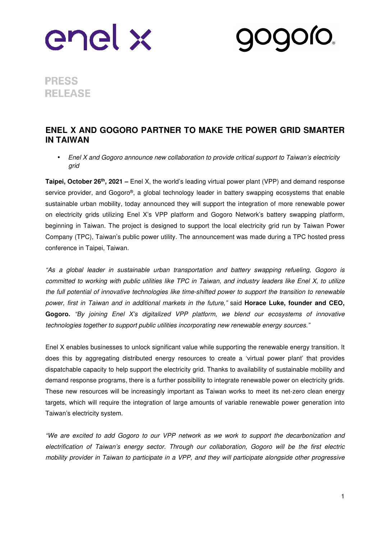

**PRESS RELEASE** 

## **ENEL X AND GOGORO PARTNER TO MAKE THE POWER GRID SMARTER IN TAIWAN**

• Enel X and Gogoro announce new collaboration to provide critical support to Taiwan's electricity grid

**Taipei, October 26th, 2021 –** Enel X, the world's leading virtual power plant (VPP) and demand response service provider, and Gogoro®, a global technology leader in battery swapping ecosystems that enable sustainable urban mobility, today announced they will support the integration of more renewable power on electricity grids utilizing Enel X's VPP platform and Gogoro Network's battery swapping platform, beginning in Taiwan. The project is designed to support the local electricity grid run by Taiwan Power Company (TPC), Taiwan's public power utility. The announcement was made during a TPC hosted press conference in Taipei, Taiwan.

"As a global leader in sustainable urban transportation and battery swapping refueling, Gogoro is committed to working with public utilities like TPC in Taiwan, and industry leaders like Enel X, to utilize the full potential of innovative technologies like time-shifted power to support the transition to renewable power, first in Taiwan and in additional markets in the future," said **Horace Luke, founder and CEO,**  Gogoro. "By joining Enel X's digitalized VPP platform, we blend our ecosystems of innovative technologies together to support public utilities incorporating new renewable energy sources."

Enel X enables businesses to unlock significant value while supporting the renewable energy transition. It does this by aggregating distributed energy resources to create a 'virtual power plant' that provides dispatchable capacity to help support the electricity grid. Thanks to availability of sustainable mobility and demand response programs, there is a further possibility to integrate renewable power on electricity grids. These new resources will be increasingly important as Taiwan works to meet its net-zero clean energy targets, which will require the integration of large amounts of variable renewable power generation into Taiwan's electricity system.

"We are excited to add Gogoro to our VPP network as we work to support the decarbonization and electrification of Taiwan's energy sector. Through our collaboration, Gogoro will be the first electric mobility provider in Taiwan to participate in a VPP, and they will participate alongside other progressive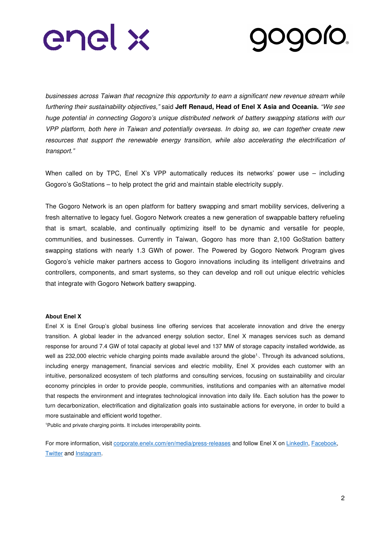



businesses across Taiwan that recognize this opportunity to earn a significant new revenue stream while furthering their sustainability objectives," said **Jeff Renaud, Head of Enel X Asia and Oceania.** "We see huge potential in connecting Gogoro's unique distributed network of battery swapping stations with our VPP platform, both here in Taiwan and potentially overseas. In doing so, we can together create new resources that support the renewable energy transition, while also accelerating the electrification of transport."

When called on by TPC, Enel X's VPP automatically reduces its networks' power use – including Gogoro's GoStations – to help protect the grid and maintain stable electricity supply.

The Gogoro Network is an open platform for battery swapping and smart mobility services, delivering a fresh alternative to legacy fuel. Gogoro Network creates a new generation of swappable battery refueling that is smart, scalable, and continually optimizing itself to be dynamic and versatile for people, communities, and businesses. Currently in Taiwan, Gogoro has more than 2,100 GoStation battery swapping stations with nearly 1.3 GWh of power. The Powered by Gogoro Network Program gives Gogoro's vehicle maker partners access to Gogoro innovations including its intelligent drivetrains and controllers, components, and smart systems, so they can develop and roll out unique electric vehicles that integrate with Gogoro Network battery swapping.

### **About Enel X**

Enel X is Enel Group's global business line offering services that accelerate innovation and drive the energy transition. A global leader in the advanced energy solution sector, Enel X manages services such as demand response for around 7.4 GW of total capacity at global level and 137 MW of storage capacity installed worldwide, as well as 232,000 electric vehicle charging points made available around the globe<sup>1</sup>. Through its advanced solutions, including energy management, financial services and electric mobility, Enel X provides each customer with an intuitive, personalized ecosystem of tech platforms and consulting services, focusing on sustainability and circular economy principles in order to provide people, communities, institutions and companies with an alternative model that respects the environment and integrates technological innovation into daily life. Each solution has the power to turn decarbonization, electrification and digitalization goals into sustainable actions for everyone, in order to build a more sustainable and efficient world together.

<sup>1</sup>Public and private charging points. It includes interoperability points.

For more information, visit corporate.enelx.com/en/media/press-releases and follow Enel X on LinkedIn, Facebook, **Twitter and Instagram.**